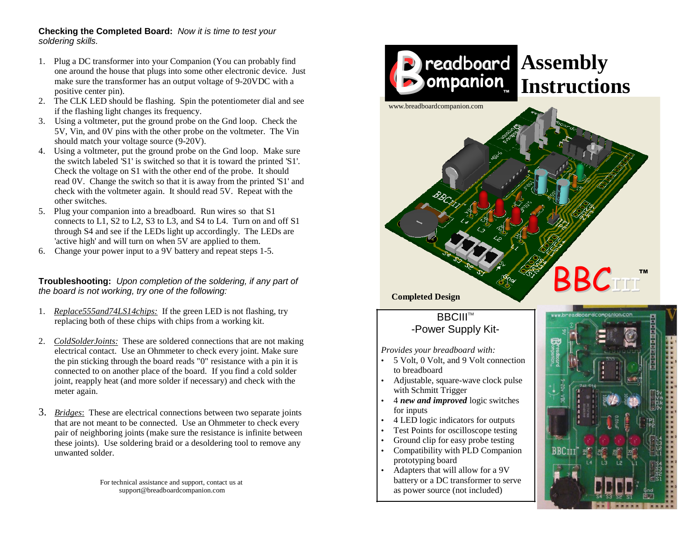## **Checking the Completed Board:** *Now it is time to test your soldering skills.*

- 1. Plug a DC transformer into your Companion (You can probably find one around the house that plugs into some other electronic device. Just make sure the transformer has an output voltage of 9-20VDC with a positive center pin).
- 2. The CLK LED should be flashing. Spin the potentiometer dial and see if the flashing light changes its frequency.
- 3. Using a voltmeter, put the ground probe on the Gnd loop. Check the 5V, Vin, and 0V pins with the other probe on the voltmeter. The Vin should match your voltage source (9-20V).
- 4. Using a voltmeter, put the ground probe on the Gnd loop. Make sure the switch labeled 'S1' is switched so that it is toward the printed 'S1'. Check the voltage on S1 with the other end of the probe. It should read 0V. Change the switch so that it is away from the printed 'S1' and check with the voltmeter again. It should read 5V. Repeat with the other switches.
- 5. Plug your companion into a breadboard. Run wires so that S1 connects to L1, S2 to L2, S3 to L3, and S4 to L4. Turn on and off S1 through S4 and see if the LEDs light up accordingly. The LEDs are 'active high' and will turn on when 5V are applied to them.
- 6. Change your power input to a 9V battery and repeat steps 1-5.

**Troubleshooting:** *Upon completion of the soldering, if any part of the board is not working, try one of the following:*

- 1. *Replace555and74LS14chips:* If the green LED is not flashing, try replacing both of these chips with chips from a working kit.
- 2. *ColdSolderJoints:* These are soldered connections that are not making electrical contact. Use an Ohmmeter to check every joint. Make sure the pin sticking through the board reads "0" resistance with a pin it is connected to on another place of the board. If you find a cold solder joint, reapply heat (and more solder if necessary) and check with the meter again.
- 3. *Bridges*: These are electrical connections between two separate joints that are not meant to be connected. Use an Ohmmeter to check every pair of neighboring joints (make sure the resistance is infinite between these joints). Use soldering braid or a desoldering tool to remove any unwanted solder.

For technical assistance and support, contact us [at](mailto:support@breadboardcompanion.com) [support@breadboardcompanion.com](mailto:support@breadboardcompanion.com)



- Adjustable, square-wave clock pulse with Schmitt Trigger
- 4 *new and improved* logic switches for inputs
- 4 LED logic indicators for outputs
- Test Points for oscilloscope testing
- Ground clip for easy probe testing
- Compatibility with PLD Companion prototyping board
- Adapters that will allow for a 9V battery or a DC transformer to serve as power source (not included)